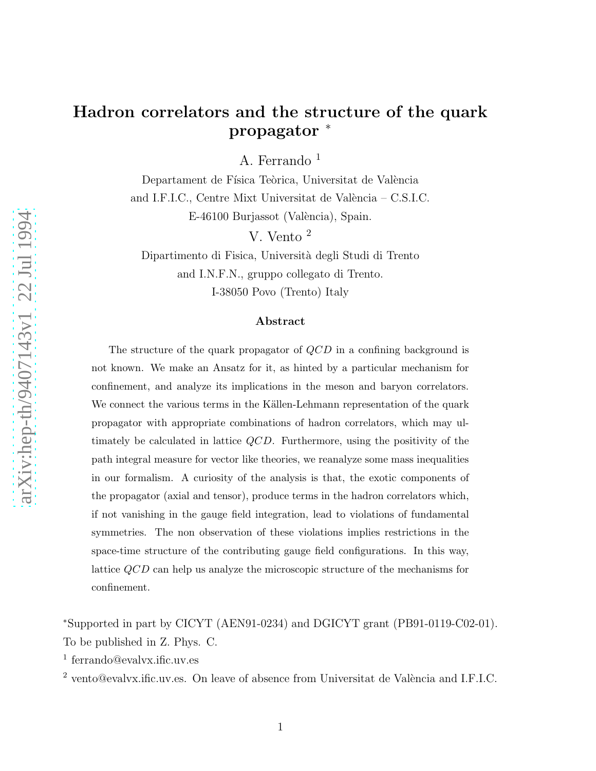### Hadron correlators and the structure of the quark propagator ∗

A. Ferrando 1

Departament de Física Teòrica, Universitat de València and I.F.I.C., Centre Mixt Universitat de València – C.S.I.C. E-46100 Burjassot (València), Spain.

V. Vento 2

Dipartimento di Fisica, Universit`a degli Studi di Trento and I.N.F.N., gruppo collegato di Trento. I-38050 Povo (Trento) Italy

#### Abstract

The structure of the quark propagator of  $QCD$  in a confining background is not known. We make an Ansatz for it, as hinted by a particular mechanism for confinement, and analyze its implications in the meson and baryon correlators. We connect the various terms in the Källen-Lehmann representation of the quark propagator with appropriate combinations of hadron correlators, which may ultimately be calculated in lattice QCD. Furthermore, using the positivity of the path integral measure for vector like theories, we reanalyze some mass inequalities in our formalism. A curiosity of the analysis is that, the exotic components of the propagator (axial and tensor), produce terms in the hadron correlators which, if not vanishing in the gauge field integration, lead to violations of fundamental symmetries. The non observation of these violations implies restrictions in the space-time structure of the contributing gauge field configurations. In this way, lattice QCD can help us analyze the microscopic structure of the mechanisms for confinement.

<sup>∗</sup>Supported in part by CICYT (AEN91-0234) and DGICYT grant (PB91-0119-C02-01). To be published in Z. Phys. C.

1 ferrando@evalvx.ific.uv.es

 $2$  vento@evalvx.ific.uv.es. On leave of absence from Universitat de València and I.F.I.C.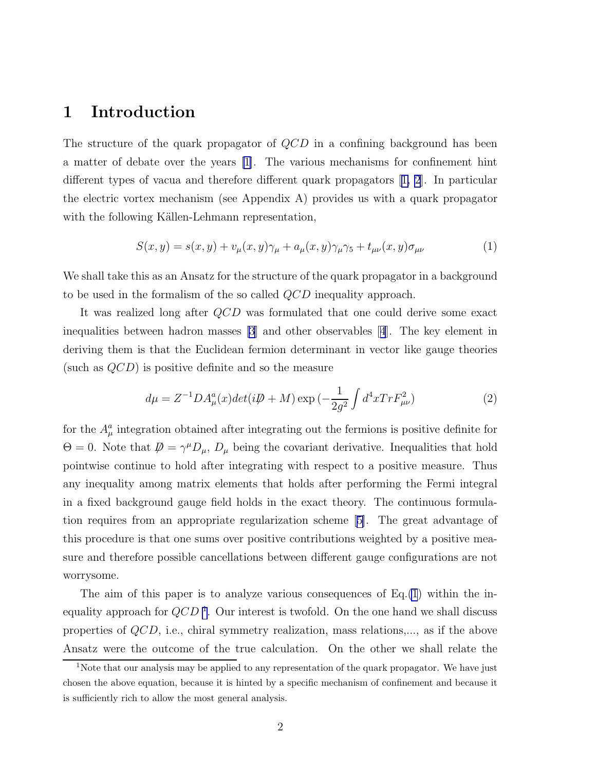#### <span id="page-1-0"></span>1 Introduction

The structure of the quark propagator of  $QCD$  in a confining background has been a matter of debate over the years [\[1\]](#page-13-0). The various mechanisms for confinement hint different types of vacua and therefore different quark propagators[[1, 2](#page-13-0)]. In particular the electric vortex mechanism (see Appendix A) provides us with a quark propagator with the following Källen-Lehmann representation,

$$
S(x,y) = s(x,y) + v_{\mu}(x,y)\gamma_{\mu} + a_{\mu}(x,y)\gamma_{\mu}\gamma_{5} + t_{\mu\nu}(x,y)\sigma_{\mu\nu}
$$
\n(1)

We shall take this as an Ansatz for the structure of the quark propagator in a background to be used in the formalism of the so called QCD inequality approach.

It was realized long after QCD was formulated that one could derive some exact inequalities between hadron masses [\[3](#page-13-0)] and other observables[[4](#page-13-0)]. The key element in deriving them is that the Euclidean fermion determinant in vector like gauge theories (such as  $QCD$ ) is positive definite and so the measure

$$
d\mu = Z^{-1}DA_{\mu}^{a}(x)det(i\mathcal{D} + M) \exp\left(-\frac{1}{2g^{2}} \int d^{4}x Tr F_{\mu\nu}^{2}\right)
$$
 (2)

for the  $A^a_\mu$  integration obtained after integrating out the fermions is positive definite for  $\Theta = 0$ . Note that  $\mathcal{D} = \gamma^{\mu} D_{\mu}$ ,  $D_{\mu}$  being the covariant derivative. Inequalities that hold pointwise continue to hold after integrating with respect to a positive measure. Thus any inequality among matrix elements that holds after performing the Fermi integral in a fixed background gauge field holds in the exact theory. The continuous formulation requires from an appropriate regularization scheme[[5\]](#page-13-0). The great advantage of this procedure is that one sums over positive contributions weighted by a positive measure and therefore possible cancellations between different gauge configurations are not worrysome.

The aim of this paper is to analyze various consequences of  $Eq.(1)$  within the inequality approach for  $QCD<sup>1</sup>$ . Our interest is twofold. On the one hand we shall discuss properties of QCD, i.e., chiral symmetry realization, mass relations,..., as if the above Ansatz were the outcome of the true calculation. On the other we shall relate the

<sup>&</sup>lt;sup>1</sup>Note that our analysis may be applied to any representation of the quark propagator. We have just chosen the above equation, because it is hinted by a specific mechanism of confinement and because it is sufficiently rich to allow the most general analysis.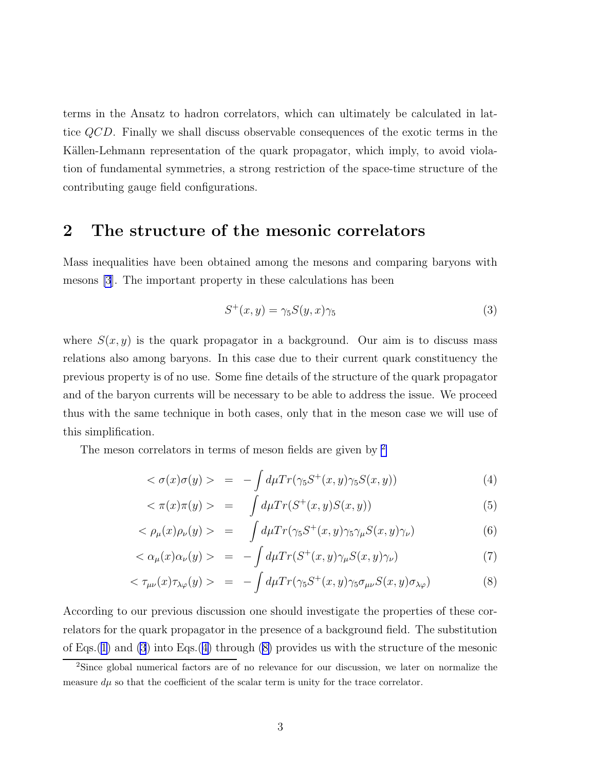terms in the Ansatz to hadron correlators, which can ultimately be calculated in lattice QCD. Finally we shall discuss observable consequences of the exotic terms in the Källen-Lehmann representation of the quark propagator, which imply, to avoid violation of fundamental symmetries, a strong restriction of the space-time structure of the contributing gauge field configurations.

#### 2 The structure of the mesonic correlators

Mass inequalities have been obtained among the mesons and comparing baryons with mesons [\[3](#page-13-0)]. The important property in these calculations has been

$$
S^+(x,y) = \gamma_5 S(y,x)\gamma_5 \tag{3}
$$

where  $S(x, y)$  is the quark propagator in a background. Our aim is to discuss mass relations also among baryons. In this case due to their current quark constituency the previous property is of no use. Some fine details of the structure of the quark propagator and of the baryon currents will be necessary to be able to address the issue. We proceed thus with the same technique in both cases, only that in the meson case we will use of this simplification.

The meson correlators in terms of meson fields are given by <sup>2</sup>

$$
\langle \sigma(x)\sigma(y) \rangle = -\int d\mu Tr(\gamma_5 S^+(x, y)\gamma_5 S(x, y)) \tag{4}
$$

$$
\langle \pi(x)\pi(y) \rangle = \int d\mu Tr(S^+(x, y)S(x, y)) \tag{5}
$$

$$
\langle \rho_{\mu}(x)\rho_{\nu}(y) \rangle = \int d\mu Tr(\gamma_5 S^+(x, y)\gamma_5 \gamma_{\mu} S(x, y)\gamma_{\nu}) \tag{6}
$$

$$
\langle \alpha_{\mu}(x)\alpha_{\nu}(y) \rangle = -\int d\mu Tr(S^{+}(x,y)\gamma_{\mu}S(x,y)\gamma_{\nu}) \tag{7}
$$

$$
\langle \tau_{\mu\nu}(x)\tau_{\lambda\varphi}(y) \rangle = -\int d\mu Tr(\gamma_5 S^+(x,y)\gamma_5 \sigma_{\mu\nu} S(x,y)\sigma_{\lambda\varphi}) \tag{8}
$$

According to our previous discussion one should investigate the properties of these correlators for the quark propagator in the presence of a background field. The substitution of Eqs.([1\)](#page-1-0) and (3) into Eqs.(4) through (8) provides us with the structure of the mesonic

<sup>2</sup>Since global numerical factors are of no relevance for our discussion, we later on normalize the measure  $d\mu$  so that the coefficient of the scalar term is unity for the trace correlator.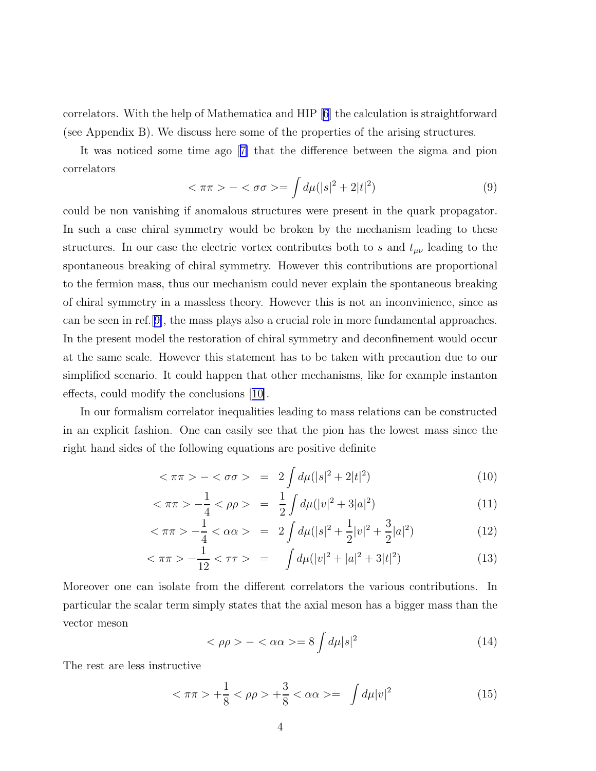<span id="page-3-0"></span>correlators. With the help of Mathematica and HIP [\[6\]](#page-13-0) the calculation is straightforward (see Appendix B). We discuss here some of the properties of the arising structures.

It was noticed some time ago[[7\]](#page-13-0) that the difference between the sigma and pion correlators

$$
<\pi\pi> - <\sigma\sigma> = \int d\mu (|s|^2 + 2|t|^2)
$$
 (9)

could be non vanishing if anomalous structures were present in the quark propagator. In such a case chiral symmetry would be broken by the mechanism leading to these structures. In our case the electric vortex contributes both to s and  $t_{\mu\nu}$  leading to the spontaneous breaking of chiral symmetry. However this contributions are proportional to the fermion mass, thus our mechanism could never explain the spontaneous breaking of chiral symmetry in a massless theory. However this is not an inconvinience, since as can be seen in ref.[[9\]](#page-13-0), the mass plays also a crucial role in more fundamental approaches. In the present model the restoration of chiral symmetry and deconfinement would occur at the same scale. However this statement has to be taken with precaution due to our simplified scenario. It could happen that other mechanisms, like for example instanton effects, could modify the conclusions[[10\]](#page-13-0).

In our formalism correlator inequalities leading to mass relations can be constructed in an explicit fashion. One can easily see that the pion has the lowest mass since the right hand sides of the following equations are positive definite

$$
\langle \pi \pi \rangle - \langle \sigma \sigma \rangle = 2 \int d\mu (|s|^2 + 2|t|^2) \tag{10}
$$

$$
\langle \pi \pi \rangle - \frac{1}{4} \langle \rho \rho \rangle = \frac{1}{2} \int d\mu (|v|^2 + 3|a|^2) \tag{11}
$$

$$
\langle \pi \pi \rangle - \frac{1}{4} \langle \alpha \alpha \rangle = 2 \int d\mu (|\mathbf{s}|^2 + \frac{1}{2} |\mathbf{v}|^2 + \frac{3}{2} |\mathbf{a}|^2) \tag{12}
$$

$$
\langle \pi \pi \rangle - \frac{1}{12} \langle \pi \rangle = \int d\mu (|v|^2 + |a|^2 + 3|t|^2) \tag{13}
$$

Moreover one can isolate from the different correlators the various contributions. In particular the scalar term simply states that the axial meson has a bigger mass than the vector meson

$$
\langle \rho \rho \rangle - \langle \alpha \alpha \rangle = 8 \int d\mu |s|^2 \tag{14}
$$

The rest are less instructive

$$
\langle \pi \pi \rangle + \frac{1}{8} \langle \rho \rho \rangle + \frac{3}{8} \langle \alpha \alpha \rangle = \int d\mu |v|^2 \tag{15}
$$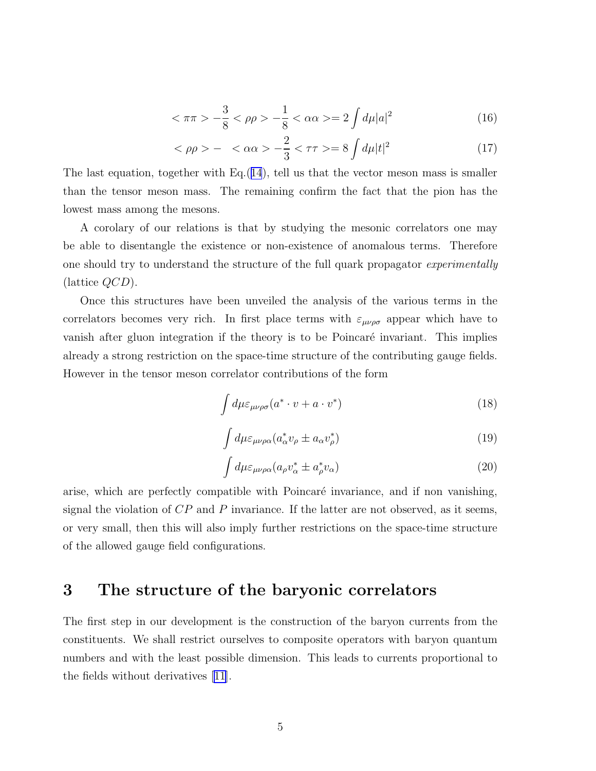$$
\langle \pi \pi \rangle - \frac{3}{8} \langle \rho \rho \rangle - \frac{1}{8} \langle \alpha \alpha \rangle = 2 \int d\mu |a|^2 \tag{16}
$$

$$
<\rho \rho> - <\alpha \alpha> -\frac{2}{3}<\tau \tau> = 8 \int d\mu |t|^2
$$
 (17)

The last equation, together with  $Eq.(14)$  $Eq.(14)$  $Eq.(14)$ , tell us that the vector meson mass is smaller than the tensor meson mass. The remaining confirm the fact that the pion has the lowest mass among the mesons.

A corolary of our relations is that by studying the mesonic correlators one may be able to disentangle the existence or non-existence of anomalous terms. Therefore one should try to understand the structure of the full quark propagator *experimentally* (lattice QCD).

Once this structures have been unveiled the analysis of the various terms in the correlators becomes very rich. In first place terms with  $\varepsilon_{\mu\nu\rho\sigma}$  appear which have to vanish after gluon integration if the theory is to be Poincaré invariant. This implies already a strong restriction on the space-time structure of the contributing gauge fields. However in the tensor meson correlator contributions of the form

$$
\int d\mu \varepsilon_{\mu\nu\rho\sigma} (a^* \cdot v + a \cdot v^*)
$$
\n(18)

$$
\int d\mu \varepsilon_{\mu\nu\rho\alpha} (a^*_{\alpha} v_{\rho} \pm a_{\alpha} v_{\rho}^*)
$$
\n(19)

$$
\int d\mu \varepsilon_{\mu\nu\rho\alpha} (a_{\rho} v_{\alpha}^* \pm a_{\rho}^* v_{\alpha})
$$
\n(20)

arise, which are perfectly compatible with Poincaré invariance, and if non vanishing, signal the violation of  $CP$  and  $P$  invariance. If the latter are not observed, as it seems, or very small, then this will also imply further restrictions on the space-time structure of the allowed gauge field configurations.

### 3 The structure of the baryonic correlators

The first step in our development is the construction of the baryon currents from the constituents. We shall restrict ourselves to composite operators with baryon quantum numbers and with the least possible dimension. This leads to currents proportional to the fields without derivatives [\[11\]](#page-13-0).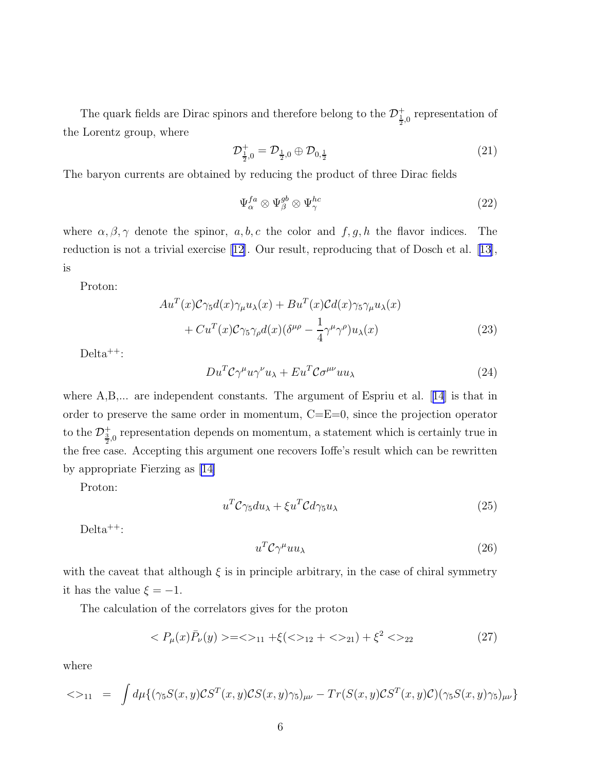The quark fields are Dirac spinors and therefore belong to the  $\mathcal{D}_{\frac{1}{2},0}^{+}$  representation of the Lorentz group, where

$$
\mathcal{D}_{\frac{1}{2},0}^{+} = \mathcal{D}_{\frac{1}{2},0} \oplus \mathcal{D}_{0,\frac{1}{2}} \tag{21}
$$

The baryon currents are obtained by reducing the product of three Dirac fields

$$
\Psi_{\alpha}^{fa} \otimes \Psi_{\beta}^{gb} \otimes \Psi_{\gamma}^{hc} \tag{22}
$$

where  $\alpha, \beta, \gamma$  denote the spinor,  $a, b, c$  the color and  $f, g, h$  the flavor indices. The reduction is not a trivial exercise [\[12\]](#page-13-0). Our result, reproducing that of Dosch et al.[[13\]](#page-13-0), is

Proton:

$$
Au^{T}(x)C\gamma_{5}d(x)\gamma_{\mu}u_{\lambda}(x) + Bu^{T}(x)Cd(x)\gamma_{5}\gamma_{\mu}u_{\lambda}(x) + Cu^{T}(x)C\gamma_{5}\gamma_{\rho}d(x)(\delta^{\mu\rho} - \frac{1}{4}\gamma^{\mu}\gamma^{\rho})u_{\lambda}(x)
$$
\n(23)

 $Delta^{++}$ :

$$
Du^T \mathcal{C} \gamma^\mu u \gamma^\nu u_\lambda + E u^T \mathcal{C} \sigma^{\mu\nu} u u_\lambda \tag{24}
$$

where $A, B, \ldots$  are independent constants. The argument of Espriu et al. [[14](#page-13-0)] is that in order to preserve the same order in momentum,  $C=E=0$ , since the projection operator to the  $\mathcal{D}_{\frac{3}{2},0}^+$  representation depends on momentum, a statement which is certainly true in the free case. Accepting this argument one recovers Ioffe's result which can be rewritten by appropriate Fierzing as [\[14\]](#page-13-0)

Proton:

$$
u^T \mathcal{C} \gamma_5 du_\lambda + \xi u^T \mathcal{C} d \gamma_5 u_\lambda \tag{25}
$$

Delta<sup>++</sup>:

$$
u^T \mathcal{C} \gamma^\mu u u_\lambda \tag{26}
$$

with the caveat that although  $\xi$  is in principle arbitrary, in the case of chiral symmetry it has the value  $\xi = -1$ .

The calculation of the correlators gives for the proton

$$
\langle P_{\mu}(x)\bar{P}_{\nu}(y)\rangle = \langle 1_{11} + \xi(\langle 1_{21} + \langle 1_{21} \rangle) + \xi^2 \langle 1_{22} \rangle \tag{27}
$$

where

$$
\langle 0 \rangle_{11} = \int d\mu \{ (\gamma_5 S(x, y) \mathcal{C} S^T(x, y) \mathcal{C} S(x, y) \gamma_5)_{\mu\nu} - Tr(S(x, y) \mathcal{C} S^T(x, y) \mathcal{C}) (\gamma_5 S(x, y) \gamma_5)_{\mu\nu} \}
$$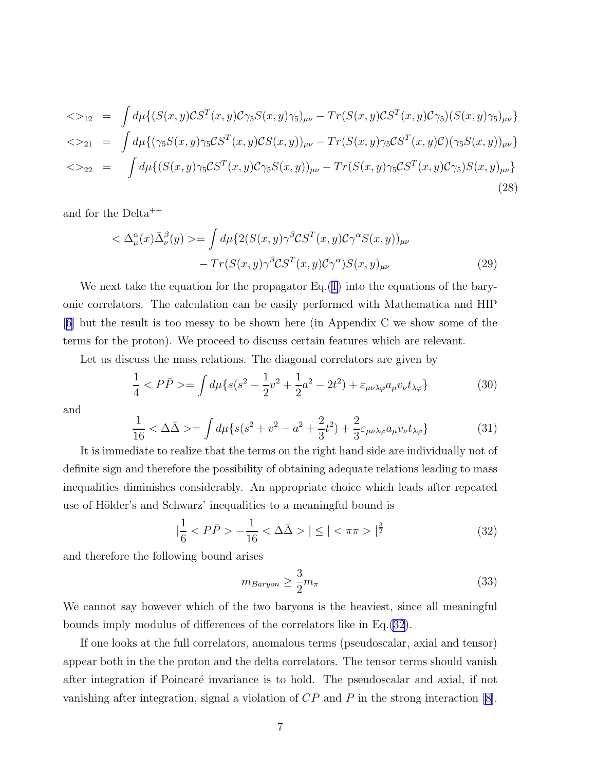$$
\langle \rangle_{12} = \int d\mu \{ (S(x, y) \mathcal{C} S^T(x, y) \mathcal{C} \gamma_5 S(x, y) \gamma_5)_{\mu\nu} - Tr(S(x, y) \mathcal{C} S^T(x, y) \mathcal{C} \gamma_5) (S(x, y) \gamma_5)_{\mu\nu} \}
$$
  

$$
\langle \rangle_{21} = \int d\mu \{ (\gamma_5 S(x, y) \gamma_5 \mathcal{C} S^T(x, y) \mathcal{C} S(x, y))_{\mu\nu} - Tr(S(x, y) \gamma_5 \mathcal{C} S^T(x, y) \mathcal{C}) (\gamma_5 S(x, y))_{\mu\nu} \}
$$
  

$$
\langle \rangle_{22} = \int d\mu \{ (S(x, y) \gamma_5 \mathcal{C} S^T(x, y) \mathcal{C} \gamma_5 S(x, y))_{\mu\nu} - Tr(S(x, y) \gamma_5 \mathcal{C} S^T(x, y) \mathcal{C} \gamma_5) S(x, y)_{\mu\nu} \}
$$
  
(28)

and for the Delta++

$$
\langle \Delta^{\alpha}_{\mu}(x) \bar{\Delta}^{\beta}_{\nu}(y) \rangle = \int d\mu \{ 2(S(x, y) \gamma^{\beta} \mathcal{C} S^{T}(x, y) \mathcal{C} \gamma^{\alpha} S(x, y))_{\mu\nu} - Tr(S(x, y) \gamma^{\beta} \mathcal{C} S^{T}(x, y) \mathcal{C} \gamma^{\alpha}) S(x, y)_{\mu\nu}
$$
\n(29)

We next take the equation for the propagator Eq.([1\)](#page-1-0) into the equations of the baryonic correlators. The calculation can be easily performed with Mathematica and HIP [\[6\]](#page-13-0) but the result is too messy to be shown here (in Appendix C we show some of the terms for the proton). We proceed to discuss certain features which are relevant.

Let us discuss the mass relations. The diagonal correlators are given by

$$
\frac{1}{4} < P\bar{P} > = \int d\mu \{ s(s^2 - \frac{1}{2}v^2 + \frac{1}{2}a^2 - 2t^2) + \varepsilon_{\mu\nu\lambda\varphi} a_{\mu} v_{\nu} t_{\lambda\varphi} \} \tag{30}
$$

and

$$
\frac{1}{16} < \Delta\bar{\Delta} > = \int d\mu \{ s(s^2 + v^2 - a^2 + \frac{2}{3}t^2) + \frac{2}{3}\varepsilon_{\mu\nu\lambda\varphi}a_{\mu}v_{\nu}t_{\lambda\varphi} \} \tag{31}
$$

It is immediate to realize that the terms on the right hand side are individually not of definite sign and therefore the possibility of obtaining adequate relations leading to mass inequalities diminishes considerably. An appropriate choice which leads after repeated use of Hölder's and Schwarz' inequalities to a meaningful bound is

$$
|\frac{1}{6} < P\bar{P} > -\frac{1}{16} < \Delta\bar{\Delta} > | \leq | < \pi\pi > |^{\frac{3}{2}} \tag{32}
$$

and therefore the following bound arises

$$
m_{Baryon} \ge \frac{3}{2} m_{\pi} \tag{33}
$$

We cannot say however which of the two baryons is the heaviest, since all meaningful bounds imply modulus of differences of the correlators like in Eq.(32).

If one looks at the full correlators, anomalous terms (pseudoscalar, axial and tensor) appear both in the the proton and the delta correlators. The tensor terms should vanish after integration if Poincaré invariance is to hold. The pseudoscalar and axial, if not vanishing after integration, signal a violation of CP and P in the strong interaction[[8\]](#page-13-0).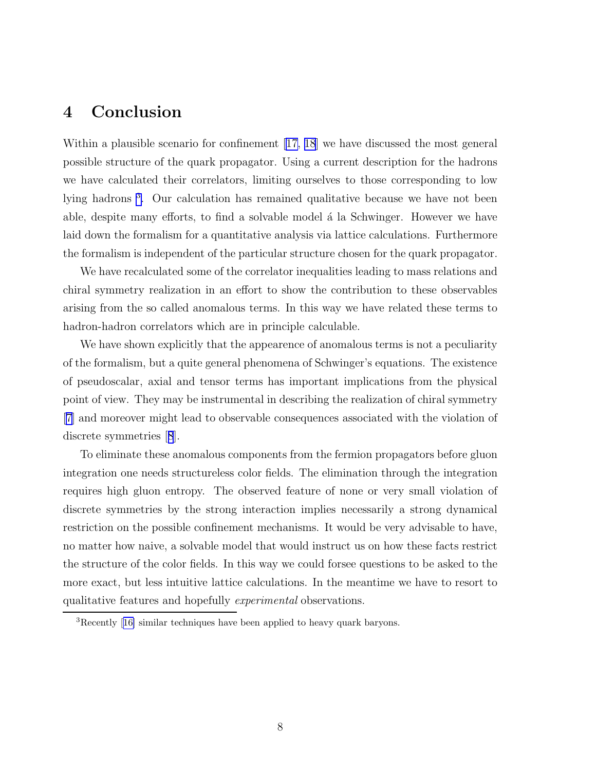### 4 Conclusion

Within a plausible scenario for confinement [\[17, 18](#page-14-0)] we have discussed the most general possible structure of the quark propagator. Using a current description for the hadrons we have calculated their correlators, limiting ourselves to those corresponding to low lying hadrons<sup>3</sup>. Our calculation has remained qualitative because we have not been able, despite many efforts, to find a solvable model a la Schwinger. However we have laid down the formalism for a quantitative analysis via lattice calculations. Furthermore the formalism is independent of the particular structure chosen for the quark propagator.

We have recalculated some of the correlator inequalities leading to mass relations and chiral symmetry realization in an effort to show the contribution to these observables arising from the so called anomalous terms. In this way we have related these terms to hadron-hadron correlators which are in principle calculable.

We have shown explicitly that the appearence of anomalous terms is not a peculiarity of the formalism, but a quite general phenomena of Schwinger's equations. The existence of pseudoscalar, axial and tensor terms has important implications from the physical point of view. They may be instrumental in describing the realization of chiral symmetry [\[7\]](#page-13-0) and moreover might lead to observable consequences associated with the violation of discrete symmetries[[8](#page-13-0)].

To eliminate these anomalous components from the fermion propagators before gluon integration one needs structureless color fields. The elimination through the integration requires high gluon entropy. The observed feature of none or very small violation of discrete symmetries by the strong interaction implies necessarily a strong dynamical restriction on the possible confinement mechanisms. It would be very advisable to have, no matter how naive, a solvable model that would instruct us on how these facts restrict the structure of the color fields. In this way we could forsee questions to be asked to the more exact, but less intuitive lattice calculations. In the meantime we have to resort to qualitative features and hopefully experimental observations.

<sup>3</sup>Recently[[16\]](#page-13-0) similar techniques have been applied to heavy quark baryons.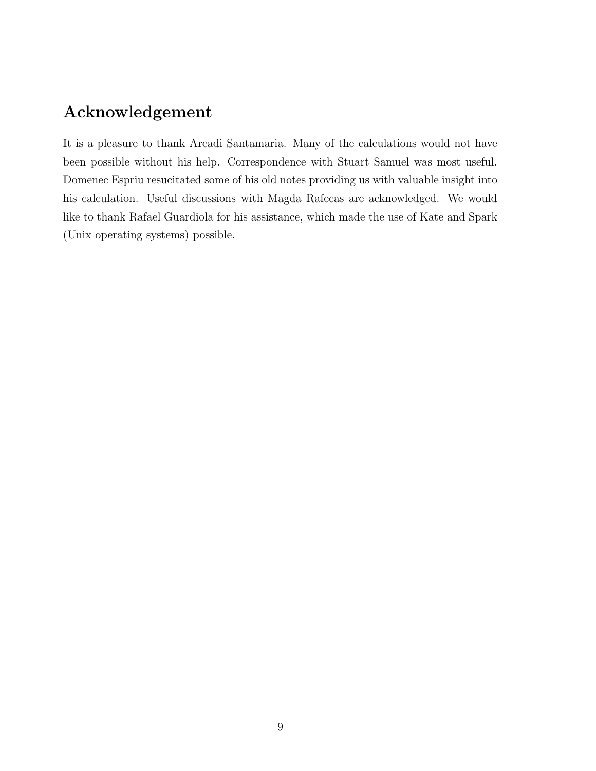### Acknowledgement

It is a pleasure to thank Arcadi Santamaria. Many of the calculations would not have been possible without his help. Correspondence with Stuart Samuel was most useful. Domenec Espriu resucitated some of his old notes providing us with valuable insight into his calculation. Useful discussions with Magda Rafecas are acknowledged. We would like to thank Rafael Guardiola for his assistance, which made the use of Kate and Spark (Unix operating systems) possible.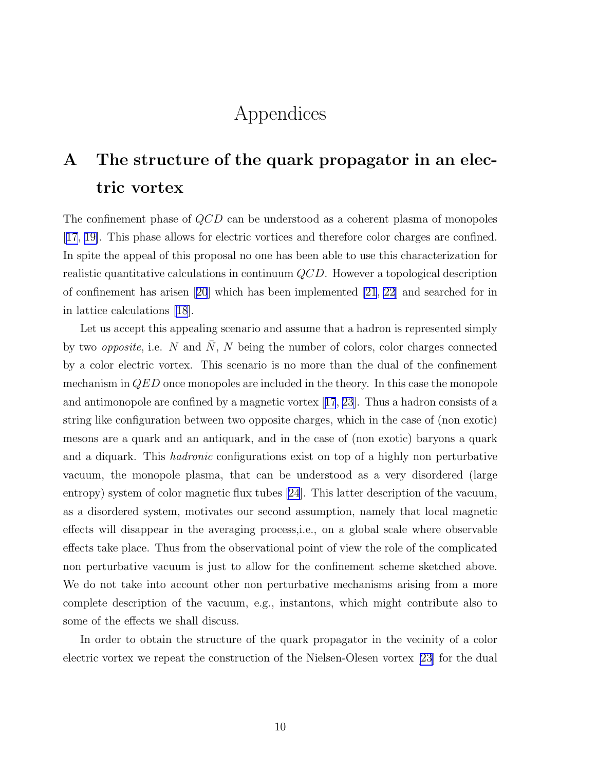## Appendices

# A The structure of the quark propagator in an electric vortex

The confinement phase of QCD can be understood as a coherent plasma of monopoles [\[17, 19\]](#page-14-0). This phase allows for electric vortices and therefore color charges are confined. In spite the appeal of this proposal no one has been able to use this characterization for realistic quantitative calculations in continuum QCD. However a topological description of confinement has arisen[[20](#page-14-0)] which has been implemented [\[21](#page-14-0), [22](#page-14-0)] and searched for in in lattice calculations [\[18\]](#page-14-0).

Let us accept this appealing scenario and assume that a hadron is represented simply by two *opposite*, i.e. N and N, N being the number of colors, color charges connected by a color electric vortex. This scenario is no more than the dual of the confinement mechanism in QED once monopoles are included in the theory. In this case the monopole and antimonopole are confined by a magnetic vortex[[17](#page-14-0), [23](#page-14-0)]. Thus a hadron consists of a string like configuration between two opposite charges, which in the case of (non exotic) mesons are a quark and an antiquark, and in the case of (non exotic) baryons a quark and a diquark. This hadronic configurations exist on top of a highly non perturbative vacuum, the monopole plasma, that can be understood as a very disordered (large entropy) system of color magnetic flux tubes [\[24](#page-14-0)]. This latter description of the vacuum, as a disordered system, motivates our second assumption, namely that local magnetic effects will disappear in the averaging process,i.e., on a global scale where observable effects take place. Thus from the observational point of view the role of the complicated non perturbative vacuum is just to allow for the confinement scheme sketched above. We do not take into account other non perturbative mechanisms arising from a more complete description of the vacuum, e.g., instantons, which might contribute also to some of the effects we shall discuss.

In order to obtain the structure of the quark propagator in the vecinity of a color electric vortex we repeat the construction of the Nielsen-Olesen vortex [\[23](#page-14-0)] for the dual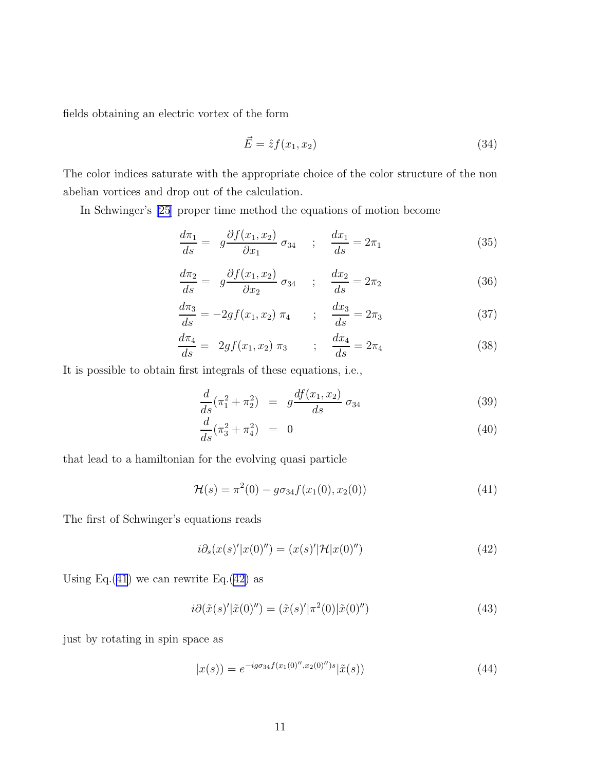<span id="page-10-0"></span>fields obtaining an electric vortex of the form

$$
\vec{E} = \hat{z}f(x_1, x_2) \tag{34}
$$

The color indices saturate with the appropriate choice of the color structure of the non abelian vortices and drop out of the calculation.

In Schwinger's [\[25](#page-14-0)] proper time method the equations of motion become

$$
\frac{d\pi_1}{ds} = g\frac{\partial f(x_1, x_2)}{\partial x_1} \sigma_{34} \quad ; \quad \frac{dx_1}{ds} = 2\pi_1 \tag{35}
$$

$$
\frac{d\pi_2}{ds} = g\frac{\partial f(x_1, x_2)}{\partial x_2} \sigma_{34} \quad ; \quad \frac{dx_2}{ds} = 2\pi_2 \tag{36}
$$

$$
\frac{d\pi_3}{ds} = -2gf(x_1, x_2) \pi_4 \qquad ; \quad \frac{dx_3}{ds} = 2\pi_3 \tag{37}
$$

$$
\frac{d\pi_4}{ds} = 2gf(x_1, x_2) \pi_3 \qquad ; \quad \frac{dx_4}{ds} = 2\pi_4 \tag{38}
$$

It is possible to obtain first integrals of these equations, i.e.,

$$
\frac{d}{ds}(\pi_1^2 + \pi_2^2) = g\frac{df(x_1, x_2)}{ds} \sigma_{34}
$$
\n(39)

$$
\frac{d}{ds}(\pi_3^2 + \pi_4^2) = 0 \tag{40}
$$

that lead to a hamiltonian for the evolving quasi particle

$$
\mathcal{H}(s) = \pi^2(0) - g\sigma_{34}f(x_1(0), x_2(0))
$$
\n(41)

The first of Schwinger's equations reads

$$
i\partial_s(x(s)'|x(0)') = (x(s)'|\mathcal{H}|x(0)')
$$
\n(42)

Using Eq.(41) we can rewrite Eq.(42) as

$$
i\partial(\tilde{x}(s)'\vert \tilde{x}(0)') = (\tilde{x}(s)'\vert \pi^2(0)\vert \tilde{x}(0)')
$$
\n(43)

just by rotating in spin space as

$$
|x(s)\rangle = e^{-ig\sigma_{34}f(x_1(0)'',x_2(0)'')s}|\tilde{x}(s)\rangle
$$
\n(44)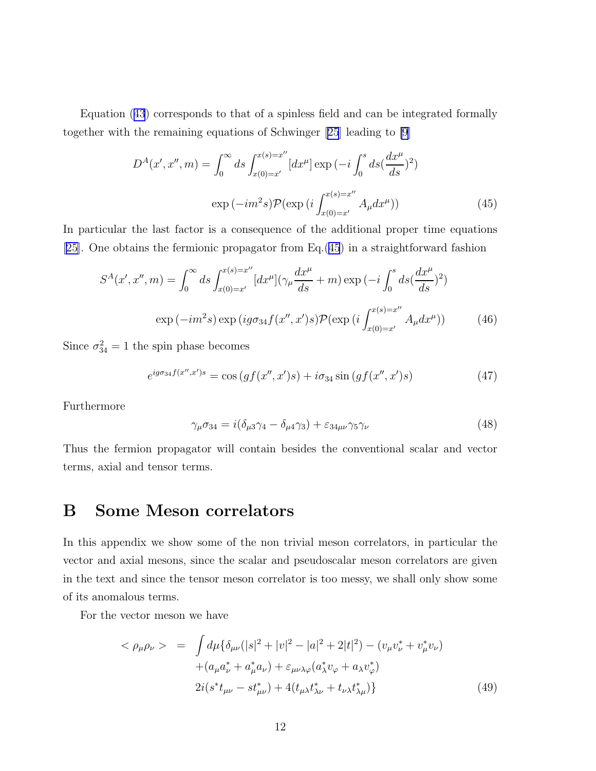Equation ([43](#page-10-0)) corresponds to that of a spinless field and can be integrated formally together with the remaining equations of Schwinger[[25](#page-14-0)] leading to [\[9](#page-13-0)]

$$
D^{A}(x', x'', m) = \int_{0}^{\infty} ds \int_{x(0) = x'}^{x(s) = x''} [dx^{\mu}] \exp(-i \int_{0}^{s} ds (\frac{dx^{\mu}}{ds})^{2})
$$

$$
\exp(-im^{2}s) \mathcal{P}(\exp(i \int_{x(0) = x'}^{x(s) = x''} A_{\mu} dx^{\mu}))
$$
(45)

In particular the last factor is a consequence of the additional proper time equations [\[25\]](#page-14-0). One obtains the fermionic propagator from Eq.(45) in a straightforward fashion

$$
S^{A}(x', x'', m) = \int_{0}^{\infty} ds \int_{x(0) = x'}^{x(s) = x''} [dx^{\mu}](\gamma_{\mu} \frac{dx^{\mu}}{ds} + m) \exp(-i \int_{0}^{s} ds (\frac{dx^{\mu}}{ds})^{2})
$$

$$
\exp(-im^{2}s) \exp(i g \sigma_{34} f(x'', x')s) \mathcal{P}(\exp(i \int_{x(0) = x'}^{x(s) = x''} A_{\mu} dx^{\mu})) \tag{46}
$$

Since  $\sigma_{34}^2 = 1$  the spin phase becomes

$$
e^{ig\sigma_{34}f(x'',x')s} = \cos\left(gf(x'',x')s\right) + i\sigma_{34}\sin\left(gf(x'',x')s\right) \tag{47}
$$

Furthermore

$$
\gamma_{\mu}\sigma_{34} = i(\delta_{\mu3}\gamma_4 - \delta_{\mu4}\gamma_3) + \varepsilon_{34\mu\nu}\gamma_5\gamma_{\nu}
$$
\n(48)

Thus the fermion propagator will contain besides the conventional scalar and vector terms, axial and tensor terms.

### B Some Meson correlators

In this appendix we show some of the non trivial meson correlators, in particular the vector and axial mesons, since the scalar and pseudoscalar meson correlators are given in the text and since the tensor meson correlator is too messy, we shall only show some of its anomalous terms.

For the vector meson we have

$$
\langle \rho_{\mu}\rho_{\nu} \rangle = \int d\mu \{ \delta_{\mu\nu} (|s|^2 + |v|^2 - |a|^2 + 2|t|^2) - (v_{\mu}v_{\nu}^* + v_{\mu}^*v_{\nu}) + (a_{\mu}a_{\nu}^* + a_{\mu}^*a_{\nu}) + \varepsilon_{\mu\nu\lambda\varphi}(a_{\lambda}^*v_{\varphi} + a_{\lambda}v_{\varphi}^*) 2i(s^*t_{\mu\nu} - st_{\mu\nu}^*) + 4(t_{\mu\lambda}t_{\lambda\nu}^* + t_{\nu\lambda}t_{\lambda\mu}^*) \}
$$
(49)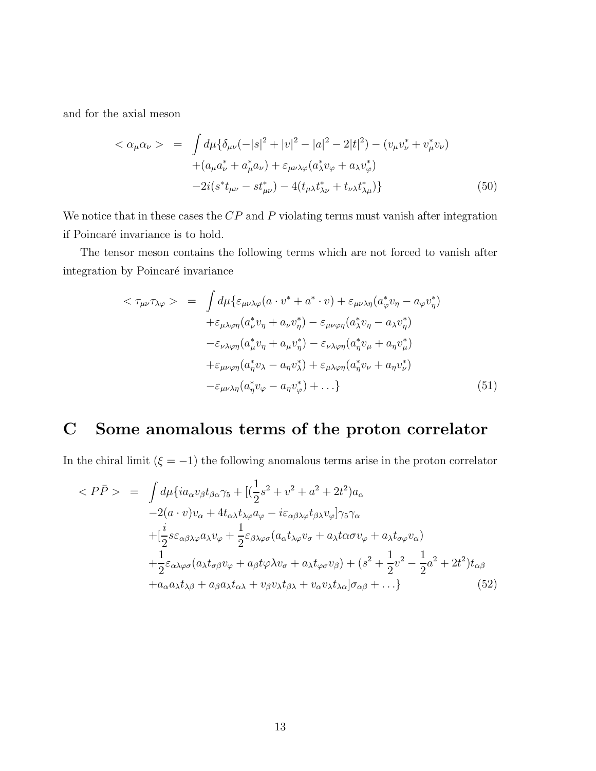and for the axial meson

$$
\langle \alpha_{\mu}\alpha_{\nu} \rangle = \int d\mu \{ \delta_{\mu\nu}(-|s|^2 + |v|^2 - |a|^2 - 2|t|^2) - (v_{\mu}v_{\nu}^* + v_{\mu}^*v_{\nu}) + (a_{\mu}a_{\nu}^* + a_{\mu}^*a_{\nu}) + \varepsilon_{\mu\nu\lambda\varphi}(a_{\lambda}^*v_{\varphi} + a_{\lambda}v_{\varphi}^*) - 2i(s^*t_{\mu\nu} - st_{\mu\nu}^*) - 4(t_{\mu\lambda}t_{\lambda\nu}^* + t_{\nu\lambda}t_{\lambda\mu}^*) \}
$$
(50)

We notice that in these cases the  $CP$  and  $P$  violating terms must vanish after integration if Poincaré invariance is to hold.

The tensor meson contains the following terms which are not forced to vanish after integration by Poincaré invariance

$$
\langle \tau_{\mu\nu}\tau_{\lambda\varphi} \rangle = \int d\mu \{ \varepsilon_{\mu\nu\lambda\varphi}(a \cdot v^* + a^* \cdot v) + \varepsilon_{\mu\nu\lambda\eta}(a^*_{\varphi}v_{\eta} - a_{\varphi}v_{\eta}^*)
$$
  
+
$$
\varepsilon_{\mu\lambda\varphi\eta}(a^*_{\nu}v_{\eta} + a_{\nu}v_{\eta}^*) - \varepsilon_{\mu\nu\varphi\eta}(a^*_{\lambda}v_{\eta} - a_{\lambda}v_{\eta}^*)
$$
  
-
$$
\varepsilon_{\nu\lambda\varphi\eta}(a^*_{\mu}v_{\eta} + a_{\mu}v_{\eta}^*) - \varepsilon_{\nu\lambda\varphi\eta}(a^*_{\eta}v_{\mu} + a_{\eta}v_{\mu}^*)
$$
  
+
$$
\varepsilon_{\mu\nu\varphi\eta}(a^*_{\eta}v_{\lambda} - a_{\eta}v_{\lambda}^*) + \varepsilon_{\mu\lambda\varphi\eta}(a^*_{\eta}v_{\nu} + a_{\eta}v_{\nu}^*)
$$
  
-
$$
\varepsilon_{\mu\nu\lambda\eta}(a^*_{\eta}v_{\varphi} - a_{\eta}v_{\varphi}^*) + ...
$$
 (51)

## C Some anomalous terms of the proton correlator

In the chiral limit ( $\xi = -1$ ) the following anomalous terms arise in the proton correlator

$$
\langle PP \rangle = \int d\mu \{ia_{\alpha}v_{\beta}t_{\beta\alpha}\gamma_{5} + [(\frac{1}{2}s^{2} + v^{2} + a^{2} + 2t^{2})a_{\alpha} \n-2(a \cdot v)v_{\alpha} + 4t_{\alpha\lambda}t_{\lambda\varphi}a_{\varphi} - i\varepsilon_{\alpha\beta\lambda\varphi}t_{\beta\lambda}v_{\varphi}] \gamma_{5}\gamma_{\alpha} \n+ [\frac{i}{2}s\varepsilon_{\alpha\beta\lambda\varphi}a_{\lambda}v_{\varphi} + \frac{1}{2}\varepsilon_{\beta\lambda\varphi\sigma}(a_{\alpha}t_{\lambda\varphi}v_{\sigma} + a_{\lambda}t_{\alpha\sigma}v_{\varphi} + a_{\lambda}t_{\sigma\varphi}v_{\alpha}) \n+ \frac{1}{2}\varepsilon_{\alpha\lambda\varphi\sigma}(a_{\lambda}t_{\sigma\beta}v_{\varphi} + a_{\beta}t_{\varphi}\lambda v_{\sigma} + a_{\lambda}t_{\varphi\sigma}v_{\beta}) + (s^{2} + \frac{1}{2}v^{2} - \frac{1}{2}a^{2} + 2t^{2})t_{\alpha\beta} \n+ a_{\alpha}a_{\lambda}t_{\lambda\beta} + a_{\beta}a_{\lambda}t_{\alpha\lambda} + v_{\beta}v_{\lambda}t_{\beta\lambda} + v_{\alpha}v_{\lambda}t_{\lambda\alpha}]\sigma_{\alpha\beta} + ... \}
$$
\n(52)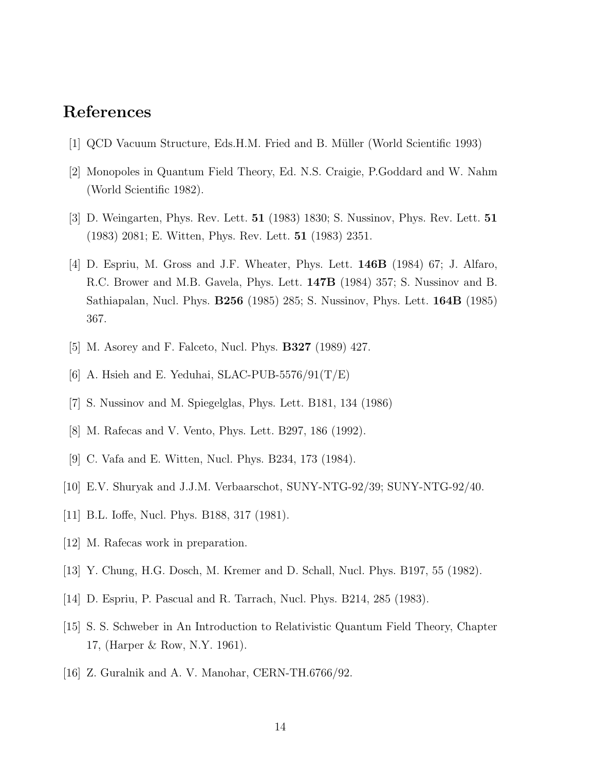### <span id="page-13-0"></span>References

- [1] QCD Vacuum Structure, Eds.H.M. Fried and B. Müller (World Scientific 1993)
- [2] Monopoles in Quantum Field Theory, Ed. N.S. Craigie, P.Goddard and W. Nahm (World Scientific 1982).
- [3] D. Weingarten, Phys. Rev. Lett. 51 (1983) 1830; S. Nussinov, Phys. Rev. Lett. 51 (1983) 2081; E. Witten, Phys. Rev. Lett. 51 (1983) 2351.
- [4] D. Espriu, M. Gross and J.F. Wheater, Phys. Lett. 146B (1984) 67; J. Alfaro, R.C. Brower and M.B. Gavela, Phys. Lett. 147B (1984) 357; S. Nussinov and B. Sathiapalan, Nucl. Phys. B256 (1985) 285; S. Nussinov, Phys. Lett. 164B (1985) 367.
- [5] M. Asorey and F. Falceto, Nucl. Phys. B327 (1989) 427.
- [6] A. Hsieh and E. Yeduhai, SLAC-PUB-5576/91 $(T/E)$
- [7] S. Nussinov and M. Spiegelglas, Phys. Lett. B181, 134 (1986)
- [8] M. Rafecas and V. Vento, Phys. Lett. B297, 186 (1992).
- [9] C. Vafa and E. Witten, Nucl. Phys. B234, 173 (1984).
- [10] E.V. Shuryak and J.J.M. Verbaarschot, SUNY-NTG-92/39; SUNY-NTG-92/40.
- [11] B.L. Ioffe, Nucl. Phys. B188, 317 (1981).
- [12] M. Rafecas work in preparation.
- [13] Y. Chung, H.G. Dosch, M. Kremer and D. Schall, Nucl. Phys. B197, 55 (1982).
- [14] D. Espriu, P. Pascual and R. Tarrach, Nucl. Phys. B214, 285 (1983).
- [15] S. S. Schweber in An Introduction to Relativistic Quantum Field Theory, Chapter 17, (Harper & Row, N.Y. 1961).
- [16] Z. Guralnik and A. V. Manohar, CERN-TH.6766/92.